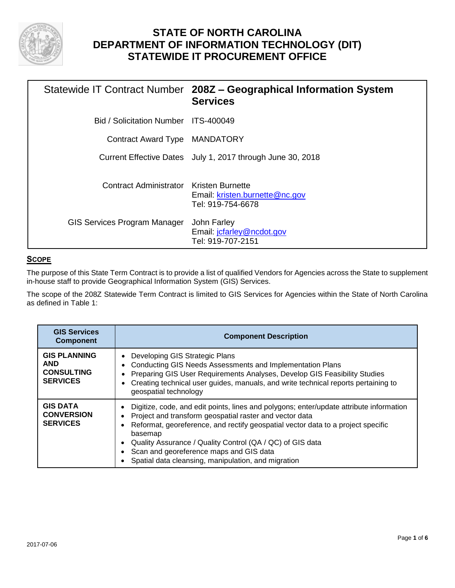

# **STATE OF NORTH CAROLINA DEPARTMENT OF INFORMATION TECHNOLOGY (DIT) STATEWIDE IT PROCUREMENT OFFICE**

|                                         | Statewide IT Contract Number 208Z - Geographical Information System<br><b>Services</b> |
|-----------------------------------------|----------------------------------------------------------------------------------------|
| Bid / Solicitation Number ITS-400049    |                                                                                        |
| Contract Award Type MANDATORY           |                                                                                        |
|                                         | Current Effective Dates July 1, 2017 through June 30, 2018                             |
| Contract Administrator Kristen Burnette | Email: kristen.burnette@nc.gov<br>Tel: 919-754-6678                                    |
| <b>GIS Services Program Manager</b>     | John Farley<br>Email: <i>jcfarley@ncdot.gov</i><br>Tel: 919-707-2151                   |

### **SCOPE**

The purpose of this State Term Contract is to provide a list of qualified Vendors for Agencies across the State to supplement in-house staff to provide Geographical Information System (GIS) Services.

The scope of the 208Z Statewide Term Contract is limited to GIS Services for Agencies within the State of North Carolina as defined in Table 1:

| <b>GIS Services</b><br><b>Component</b>                                   | <b>Component Description</b>                                                                                                                                                                                                                                                                                                                                                                                     |  |
|---------------------------------------------------------------------------|------------------------------------------------------------------------------------------------------------------------------------------------------------------------------------------------------------------------------------------------------------------------------------------------------------------------------------------------------------------------------------------------------------------|--|
| <b>GIS PLANNING</b><br><b>AND</b><br><b>CONSULTING</b><br><b>SERVICES</b> | Developing GIS Strategic Plans<br><b>Conducting GIS Needs Assessments and Implementation Plans</b><br>Preparing GIS User Requirements Analyses, Develop GIS Feasibility Studies<br>Creating technical user guides, manuals, and write technical reports pertaining to<br>geospatial technology                                                                                                                   |  |
| <b>GIS DATA</b><br><b>CONVERSION</b><br><b>SERVICES</b>                   | Digitize, code, and edit points, lines and polygons; enter/update attribute information<br>Project and transform geospatial raster and vector data<br>Reformat, georeference, and rectify geospatial vector data to a project specific<br>basemap<br>Quality Assurance / Quality Control (QA / QC) of GIS data<br>Scan and georeference maps and GIS data<br>Spatial data cleansing, manipulation, and migration |  |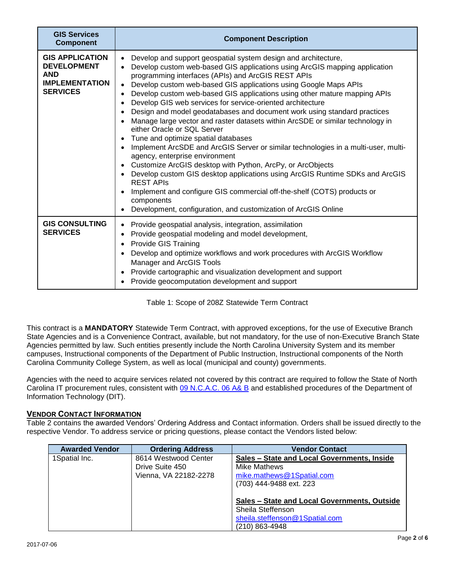| <b>GIS Services</b><br><b>Component</b>                                                                | <b>Component Description</b>                                                                                                                                                                                                                                                                                                                                                                                                                                                                                                                                                                                                                                                                                                                                                                                                                                                                                                                                                                                                                                                                                                           |
|--------------------------------------------------------------------------------------------------------|----------------------------------------------------------------------------------------------------------------------------------------------------------------------------------------------------------------------------------------------------------------------------------------------------------------------------------------------------------------------------------------------------------------------------------------------------------------------------------------------------------------------------------------------------------------------------------------------------------------------------------------------------------------------------------------------------------------------------------------------------------------------------------------------------------------------------------------------------------------------------------------------------------------------------------------------------------------------------------------------------------------------------------------------------------------------------------------------------------------------------------------|
| <b>GIS APPLICATION</b><br><b>DEVELOPMENT</b><br><b>AND</b><br><b>IMPLEMENTATION</b><br><b>SERVICES</b> | Develop and support geospatial system design and architecture,<br>$\bullet$<br>Develop custom web-based GIS applications using ArcGIS mapping application<br>$\bullet$<br>programming interfaces (APIs) and ArcGIS REST APIs<br>Develop custom web-based GIS applications using Google Maps APIs<br>Develop custom web-based GIS applications using other mature mapping APIs<br>Develop GIS web services for service-oriented architecture<br>Design and model geodatabases and document work using standard practices<br>Manage large vector and raster datasets within ArcSDE or similar technology in<br>either Oracle or SQL Server<br>Tune and optimize spatial databases<br>Implement ArcSDE and ArcGIS Server or similar technologies in a multi-user, multi-<br>agency, enterprise environment<br>Customize ArcGIS desktop with Python, ArcPy, or ArcObjects<br>• Develop custom GIS desktop applications using ArcGIS Runtime SDKs and ArcGIS<br><b>REST APIS</b><br>Implement and configure GIS commercial off-the-shelf (COTS) products or<br>components<br>Development, configuration, and customization of ArcGIS Online |
| <b>GIS CONSULTING</b><br><b>SERVICES</b>                                                               | Provide geospatial analysis, integration, assimilation<br>$\bullet$<br>Provide geospatial modeling and model development,<br><b>Provide GIS Training</b><br>$\bullet$<br>Develop and optimize workflows and work procedures with ArcGIS Workflow<br>Manager and ArcGIS Tools<br>Provide cartographic and visualization development and support<br>Provide geocomputation development and support                                                                                                                                                                                                                                                                                                                                                                                                                                                                                                                                                                                                                                                                                                                                       |

Table 1: Scope of 208Z Statewide Term Contract

This contract is a **MANDATORY** Statewide Term Contract, with approved exceptions, for the use of Executive Branch State Agencies and is a Convenience Contract, available, but not mandatory, for the use of non-Executive Branch State Agencies permitted by law. Such entities presently include the North Carolina University System and its member campuses, Instructional components of the Department of Public Instruction, Instructional components of the North Carolina Community College System, as well as local (municipal and county) governments.

Agencies with the need to acquire services related not covered by this contract are required to follow the State of North Carolina IT procurement rules, consistent with [09 N.C.A.C. 06 A& B](http://reports.oah.state.nc.us/ncac.asp?folderName=/Title%2009%20-%20Governor%20and%20Lt.%20Governor/Chapter%2006%20-%20Office%20of%20Information%20and%20Technology%20Services) and established procedures of the Department of Information Technology (DIT).

# VENDOR CONTACT INFORMATION

Table 2 contains the awarded Vendors' Ordering Address and Contact information. Orders shall be issued directly to the respective Vendor. To address service or pricing questions, please contact the Vendors listed below:

| <b>Awarded Vendor</b> | <b>Ordering Address</b>                                          | <b>Vendor Contact</b>                                                                                                                            |
|-----------------------|------------------------------------------------------------------|--------------------------------------------------------------------------------------------------------------------------------------------------|
| 1Spatial Inc.         | 8614 Westwood Center<br>Drive Suite 450<br>Vienna, VA 22182-2278 | Sales – State and Local Governments, Inside<br>Mike Mathews<br>mike.mathews@1Spatial.com                                                         |
|                       |                                                                  | (703) 444-9488 ext. 223<br>Sales – State and Local Governments, Outside<br>Sheila Steffenson<br>sheila.steffenson@1Spatial.com<br>(210) 863-4948 |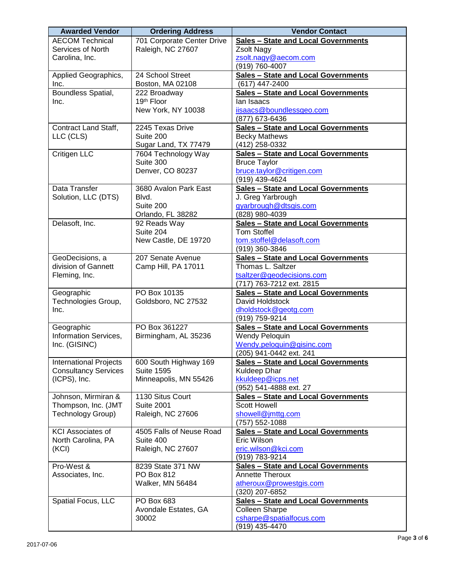| <b>Awarded Vendor</b>                                        | <b>Ordering Address</b>                    | <b>Vendor Contact</b>                                      |
|--------------------------------------------------------------|--------------------------------------------|------------------------------------------------------------|
| <b>AECOM Technical</b>                                       | 701 Corporate Center Drive                 | <b>Sales - State and Local Governments</b>                 |
| Services of North                                            | Raleigh, NC 27607                          | Zsolt Nagy                                                 |
| Carolina, Inc.                                               |                                            | zsolt.nagy@aecom.com                                       |
|                                                              |                                            | (919) 760-4007                                             |
| Applied Geographics,                                         | 24 School Street                           | <b>Sales - State and Local Governments</b>                 |
| Inc.                                                         | Boston, MA 02108                           | (617) 447-2400                                             |
| Boundless Spatial,                                           | 222 Broadway                               | <b>Sales - State and Local Governments</b>                 |
| Inc.                                                         | 19th Floor                                 | lan Isaacs                                                 |
|                                                              | New York, NY 10038                         | iisaacs@boundlessgeo.com                                   |
|                                                              |                                            | (877) 673-6436                                             |
| Contract Land Staff,                                         | 2245 Texas Drive                           | <b>Sales - State and Local Governments</b>                 |
| LLC (CLS)                                                    | Suite 200                                  | <b>Becky Mathews</b>                                       |
|                                                              | Sugar Land, TX 77479                       | (412) 258-0332                                             |
| Critigen LLC                                                 | 7604 Technology Way                        | <b>Sales - State and Local Governments</b>                 |
|                                                              | Suite 300                                  | <b>Bruce Taylor</b>                                        |
|                                                              | Denver, CO 80237                           | bruce.taylor@critigen.com                                  |
|                                                              |                                            | (919) 439-4624                                             |
| Data Transfer                                                | 3680 Avalon Park East                      | <b>Sales - State and Local Governments</b>                 |
| Solution, LLC (DTS)                                          | Blvd.                                      | J. Greg Yarbrough                                          |
|                                                              | Suite 200                                  | gyarbrough@dtsgis.com                                      |
|                                                              | Orlando, FL 38282                          | (828) 980-4039                                             |
| Delasoft, Inc.                                               | 92 Reads Way                               | Sales - State and Local Governments                        |
|                                                              | Suite 204                                  | <b>Tom Stoffel</b>                                         |
|                                                              | New Castle, DE 19720                       | tom.stoffel@delasoft.com                                   |
|                                                              |                                            | (919) 360-3846                                             |
| GeoDecisions, a                                              | 207 Senate Avenue                          | <b>Sales - State and Local Governments</b>                 |
| division of Gannett                                          | Camp Hill, PA 17011                        | Thomas L. Saltzer                                          |
| Fleming, Inc.                                                |                                            | tsaltzer@geodecisions.com                                  |
|                                                              |                                            | (717) 763-7212 ext. 2815                                   |
| Geographic                                                   | PO Box 10135                               | <b>Sales - State and Local Governments</b>                 |
| Technologies Group,                                          | Goldsboro, NC 27532                        | David Holdstock                                            |
| Inc.                                                         |                                            | dholdstock@geotg.com                                       |
|                                                              | PO Box 361227                              | (919) 759-9214                                             |
| Geographic<br>Information Services,                          |                                            | Sales - State and Local Governments                        |
|                                                              | Birmingham, AL 35236                       | Wendy Peloquin                                             |
| Inc. (GISINC)                                                |                                            | Wendy.peloquin@gisinc.com<br>(205) 941-0442 ext. 241       |
|                                                              |                                            |                                                            |
| <b>International Projects</b><br><b>Consultancy Services</b> | 600 South Highway 169<br><b>Suite 1595</b> | <b>Sales - State and Local Governments</b><br>Kuldeep Dhar |
| (ICPS), Inc.                                                 | Minneapolis, MN 55426                      | kkuldeep@icps.net                                          |
|                                                              |                                            | (952) 541-4888 ext. 27                                     |
| Johnson, Mirmiran &                                          | 1130 Situs Court                           | <b>Sales - State and Local Governments</b>                 |
| Thompson, Inc. (JMT                                          | <b>Suite 2001</b>                          | <b>Scott Howell</b>                                        |
| <b>Technology Group)</b>                                     | Raleigh, NC 27606                          | showell@jmttg.com                                          |
|                                                              |                                            | (757) 552-1088                                             |
| <b>KCI Associates of</b>                                     | 4505 Falls of Neuse Road                   | <b>Sales - State and Local Governments</b>                 |
| North Carolina, PA                                           | Suite 400                                  | Eric Wilson                                                |
| (KCI)                                                        | Raleigh, NC 27607                          | eric.wilson@kci.com                                        |
|                                                              |                                            | (919) 783-9214                                             |
| Pro-West &                                                   | 8239 State 371 NW                          | <b>Sales - State and Local Governments</b>                 |
| Associates, Inc.                                             | PO Box 812                                 | <b>Annette Theroux</b>                                     |
|                                                              | Walker, MN 56484                           | atheroux@prowestgis.com                                    |
|                                                              |                                            | (320) 207-6852                                             |
| Spatial Focus, LLC                                           | PO Box 683                                 | <b>Sales - State and Local Governments</b>                 |
|                                                              | Avondale Estates, GA                       | <b>Colleen Sharpe</b>                                      |
|                                                              | 30002                                      | csharpe@spatialfocus.com                                   |
|                                                              |                                            | (919) 435-4470                                             |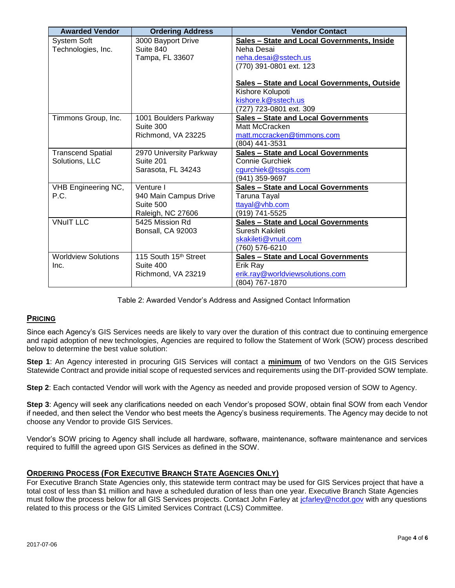| <b>Awarded Vendor</b>       | <b>Ordering Address</b>            | <b>Vendor Contact</b>                              |
|-----------------------------|------------------------------------|----------------------------------------------------|
| System Soft                 | 3000 Bayport Drive                 | <b>Sales - State and Local Governments, Inside</b> |
| Technologies, Inc.          | Suite 840                          | Neha Desai                                         |
|                             | Tampa, FL 33607                    | neha.desai@sstech.us                               |
|                             |                                    | (770) 391-0801 ext. 123                            |
|                             |                                    |                                                    |
|                             |                                    | Sales - State and Local Governments, Outside       |
|                             |                                    | Kishore Kolupoti                                   |
|                             |                                    | kishore.k@sstech.us                                |
|                             |                                    | (727) 723-0801 ext. 309                            |
| Timmons Group, Inc.         | 1001 Boulders Parkway              | <b>Sales - State and Local Governments</b>         |
|                             | Suite 300                          | Matt McCracken                                     |
|                             | Richmond, VA 23225                 | matt.mccracken@timmons.com                         |
|                             |                                    | (804) 441-3531                                     |
| <b>Transcend Spatial</b>    | 2970 University Parkway            | <b>Sales - State and Local Governments</b>         |
| Solutions, LLC              | Suite 201                          | <b>Connie Gurchiek</b>                             |
|                             | Sarasota, FL 34243                 | cgurchiek@tssgis.com                               |
|                             |                                    | (941) 359-9697                                     |
| VHB Engineering NC,<br>P.C. | Venture I                          | <b>Sales - State and Local Governments</b>         |
|                             | 940 Main Campus Drive<br>Suite 500 | Taruna Tayal                                       |
|                             | Raleigh, NC 27606                  | ttayal@vhb.com<br>(919) 741-5525                   |
| <b>VNuIT LLC</b>            | 5425 Mission Rd                    | Sales - State and Local Governments                |
|                             | Bonsall, CA 92003                  | Suresh Kakileti                                    |
|                             |                                    | skakileti@vnuit.com                                |
|                             |                                    | (760) 576-6210                                     |
| <b>Worldview Solutions</b>  | 115 South 15th Street              | <b>Sales - State and Local Governments</b>         |
| Inc.                        | Suite 400                          | Erik Ray                                           |
|                             | Richmond, VA 23219                 | erik.ray@worldviewsolutions.com                    |
|                             |                                    | (804) 767-1870                                     |

Table 2: Awarded Vendor's Address and Assigned Contact Information

### **PRICING**

Since each Agency's GIS Services needs are likely to vary over the duration of this contract due to continuing emergence and rapid adoption of new technologies, Agencies are required to follow the Statement of Work (SOW) process described below to determine the best value solution:

**Step 1**: An Agency interested in procuring GIS Services will contact a **minimum** of two Vendors on the GIS Services Statewide Contract and provide initial scope of requested services and requirements using the DIT-provided SOW template.

**Step 2**: Each contacted Vendor will work with the Agency as needed and provide proposed version of SOW to Agency.

**Step 3**: Agency will seek any clarifications needed on each Vendor's proposed SOW, obtain final SOW from each Vendor if needed, and then select the Vendor who best meets the Agency's business requirements. The Agency may decide to not choose any Vendor to provide GIS Services.

Vendor's SOW pricing to Agency shall include all hardware, software, maintenance, software maintenance and services required to fulfill the agreed upon GIS Services as defined in the SOW.

### ORDERING PROCESS (FOR EXECUTIVE BRANCH STATE AGENCIES ONLY)

For Executive Branch State Agencies only, this statewide term contract may be used for GIS Services project that have a total cost of less than \$1 million and have a scheduled duration of less than one year. Executive Branch State Agencies must follow the process below for all GIS Services projects. Contact John Farley at [jcfarley@ncdot.gov](mailto:jcfarley@ncdot.gov) with any questions related to this process or the GIS Limited Services Contract (LCS) Committee.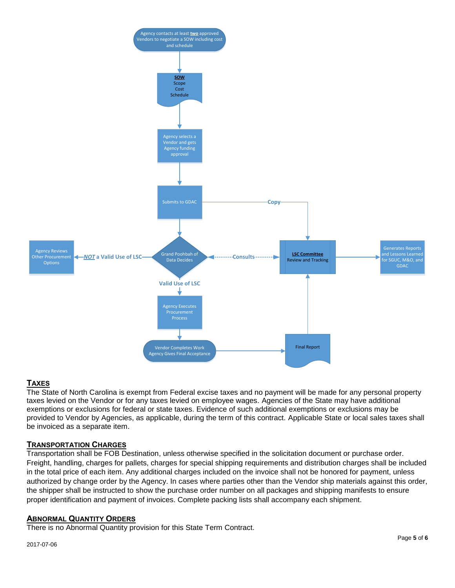

# TAXES

The State of North Carolina is exempt from Federal excise taxes and no payment will be made for any personal property taxes levied on the Vendor or for any taxes levied on employee wages. Agencies of the State may have additional exemptions or exclusions for federal or state taxes. Evidence of such additional exemptions or exclusions may be provided to Vendor by Agencies, as applicable, during the term of this contract. Applicable State or local sales taxes shall be invoiced as a separate item.

# TRANSPORTATION CHARGES

Transportation shall be FOB Destination, unless otherwise specified in the solicitation document or purchase order. Freight, handling, charges for pallets, charges for special shipping requirements and distribution charges shall be included in the total price of each item. Any additional charges included on the invoice shall not be honored for payment, unless authorized by change order by the Agency. In cases where parties other than the Vendor ship materials against this order, the shipper shall be instructed to show the purchase order number on all packages and shipping manifests to ensure proper identification and payment of invoices. Complete packing lists shall accompany each shipment.

### ABNORMAL QUANTITY ORDERS

There is no Abnormal Quantity provision for this State Term Contract.